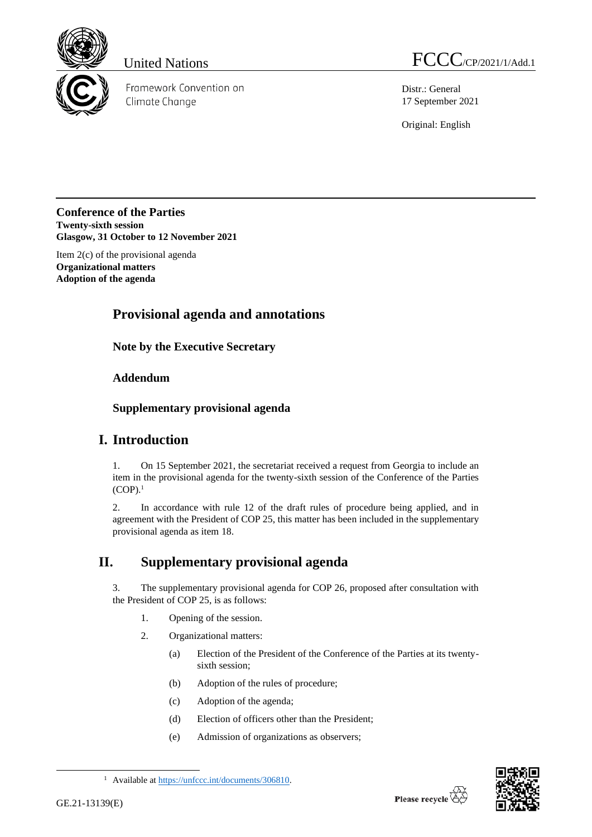

Framework Convention on Climate Change

United Nations  $FCCC_{/CP/2021/1/Add.1}$ 

Distr.: General 17 September 2021

Original: English

**Conference of the Parties Twenty-sixth session Glasgow, 31 October to 12 November 2021**

Item 2(c) of the provisional agenda **Organizational matters Adoption of the agenda**

# **Provisional agenda and annotations**

**Note by the Executive Secretary**

#### **Addendum**

**Supplementary provisional agenda**

## **I. Introduction**

1. On 15 September 2021, the secretariat received a request from Georgia to include an item in the provisional agenda for the twenty-sixth session of the Conference of the Parties  $(COP).<sup>1</sup>$ 

2. In accordance with rule 12 of the draft rules of procedure being applied, and in agreement with the President of COP 25, this matter has been included in the supplementary provisional agenda as item 18.

# **II. Supplementary provisional agenda**

3. The supplementary provisional agenda for COP 26, proposed after consultation with the President of COP 25, is as follows:

- 1. Opening of the session.
- 2. Organizational matters:
	- (a) Election of the President of the Conference of the Parties at its twentysixth session;
	- (b) Adoption of the rules of procedure;
	- (c) Adoption of the agenda;
	- (d) Election of officers other than the President;
	- (e) Admission of organizations as observers;



<sup>1</sup> Available a[t https://unfccc.int/documents/306810.](https://unfccc.int/documents/306810)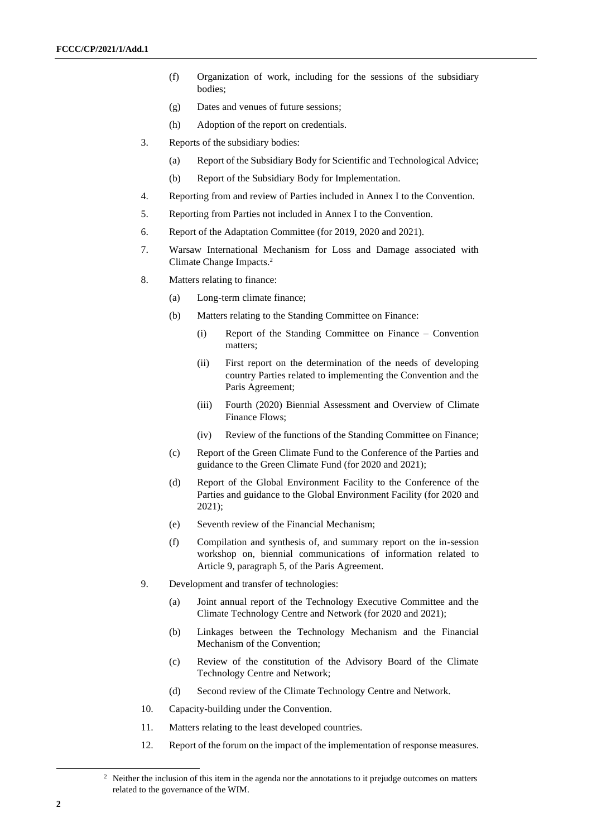- (f) Organization of work, including for the sessions of the subsidiary bodies;
- (g) Dates and venues of future sessions;
- (h) Adoption of the report on credentials.
- 3. Reports of the subsidiary bodies:
	- (a) Report of the Subsidiary Body for Scientific and Technological Advice;
	- (b) Report of the Subsidiary Body for Implementation.
- 4. Reporting from and review of Parties included in Annex I to the Convention.
- 5. Reporting from Parties not included in Annex I to the Convention.
- 6. Report of the Adaptation Committee (for 2019, 2020 and 2021).
- 7. Warsaw International Mechanism for Loss and Damage associated with Climate Change Impacts.<sup>2</sup>
- 8. Matters relating to finance:
	- (a) Long-term climate finance;
	- (b) Matters relating to the Standing Committee on Finance:
		- (i) Report of the Standing Committee on Finance Convention matters;
		- (ii) First report on the determination of the needs of developing country Parties related to implementing the Convention and the Paris Agreement;
		- (iii) Fourth (2020) Biennial Assessment and Overview of Climate Finance Flows;
		- (iv) Review of the functions of the Standing Committee on Finance;
	- (c) Report of the Green Climate Fund to the Conference of the Parties and guidance to the Green Climate Fund (for 2020 and 2021);
	- (d) Report of the Global Environment Facility to the Conference of the Parties and guidance to the Global Environment Facility (for 2020 and 2021);
	- (e) Seventh review of the Financial Mechanism;
	- (f) Compilation and synthesis of, and summary report on the in-session workshop on, biennial communications of information related to Article 9, paragraph 5, of the Paris Agreement.
- 9. Development and transfer of technologies:
	- (a) Joint annual report of the Technology Executive Committee and the Climate Technology Centre and Network (for 2020 and 2021);
	- (b) Linkages between the Technology Mechanism and the Financial Mechanism of the Convention;
	- (c) Review of the constitution of the Advisory Board of the Climate Technology Centre and Network;
	- (d) Second review of the Climate Technology Centre and Network.
- 10. Capacity-building under the Convention.
- 11. Matters relating to the least developed countries.
- 12. Report of the forum on the impact of the implementation of response measures.

 $2\text{}$  Neither the inclusion of this item in the agenda nor the annotations to it prejudge outcomes on matters related to the governance of the WIM.